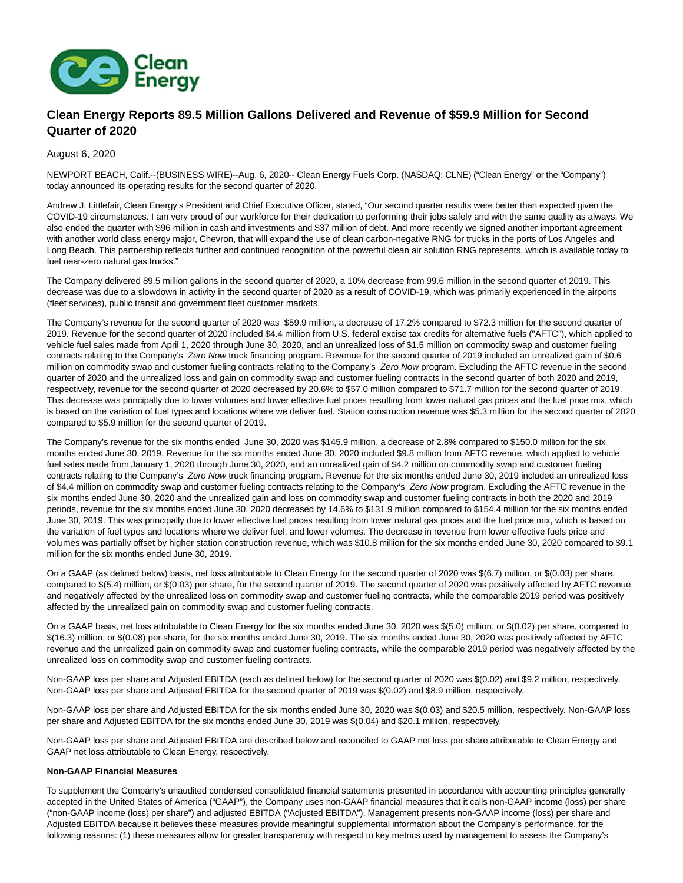

# **Clean Energy Reports 89.5 Million Gallons Delivered and Revenue of \$59.9 Million for Second Quarter of 2020**

## August 6, 2020

NEWPORT BEACH, Calif.--(BUSINESS WIRE)--Aug. 6, 2020-- Clean Energy Fuels Corp. (NASDAQ: CLNE) ("Clean Energy" or the "Company") today announced its operating results for the second quarter of 2020.

Andrew J. Littlefair, Clean Energy's President and Chief Executive Officer, stated, "Our second quarter results were better than expected given the COVID-19 circumstances. I am very proud of our workforce for their dedication to performing their jobs safely and with the same quality as always. We also ended the quarter with \$96 million in cash and investments and \$37 million of debt. And more recently we signed another important agreement with another world class energy major, Chevron, that will expand the use of clean carbon-negative RNG for trucks in the ports of Los Angeles and Long Beach. This partnership reflects further and continued recognition of the powerful clean air solution RNG represents, which is available today to fuel near-zero natural gas trucks."

The Company delivered 89.5 million gallons in the second quarter of 2020, a 10% decrease from 99.6 million in the second quarter of 2019. This decrease was due to a slowdown in activity in the second quarter of 2020 as a result of COVID-19, which was primarily experienced in the airports (fleet services), public transit and government fleet customer markets.

The Company's revenue for the second quarter of 2020 was \$59.9 million, a decrease of 17.2% compared to \$72.3 million for the second quarter of 2019. Revenue for the second quarter of 2020 included \$4.4 million from U.S. federal excise tax credits for alternative fuels ("AFTC"), which applied to vehicle fuel sales made from April 1, 2020 through June 30, 2020, and an unrealized loss of \$1.5 million on commodity swap and customer fueling contracts relating to the Company's Zero Now truck financing program. Revenue for the second quarter of 2019 included an unrealized gain of \$0.6 million on commodity swap and customer fueling contracts relating to the Company's Zero Now program. Excluding the AFTC revenue in the second quarter of 2020 and the unrealized loss and gain on commodity swap and customer fueling contracts in the second quarter of both 2020 and 2019, respectively, revenue for the second quarter of 2020 decreased by 20.6% to \$57.0 million compared to \$71.7 million for the second quarter of 2019. This decrease was principally due to lower volumes and lower effective fuel prices resulting from lower natural gas prices and the fuel price mix, which is based on the variation of fuel types and locations where we deliver fuel. Station construction revenue was \$5.3 million for the second quarter of 2020 compared to \$5.9 million for the second quarter of 2019.

The Company's revenue for the six months ended June 30, 2020 was \$145.9 million, a decrease of 2.8% compared to \$150.0 million for the six months ended June 30, 2019. Revenue for the six months ended June 30, 2020 included \$9.8 million from AFTC revenue, which applied to vehicle fuel sales made from January 1, 2020 through June 30, 2020, and an unrealized gain of \$4.2 million on commodity swap and customer fueling contracts relating to the Company's Zero Now truck financing program. Revenue for the six months ended June 30, 2019 included an unrealized loss of \$4.4 million on commodity swap and customer fueling contracts relating to the Company's Zero Now program. Excluding the AFTC revenue in the six months ended June 30, 2020 and the unrealized gain and loss on commodity swap and customer fueling contracts in both the 2020 and 2019 periods, revenue for the six months ended June 30, 2020 decreased by 14.6% to \$131.9 million compared to \$154.4 million for the six months ended June 30, 2019. This was principally due to lower effective fuel prices resulting from lower natural gas prices and the fuel price mix, which is based on the variation of fuel types and locations where we deliver fuel, and lower volumes. The decrease in revenue from lower effective fuels price and volumes was partially offset by higher station construction revenue, which was \$10.8 million for the six months ended June 30, 2020 compared to \$9.1 million for the six months ended June 30, 2019.

On a GAAP (as defined below) basis, net loss attributable to Clean Energy for the second quarter of 2020 was \$(6.7) million, or \$(0.03) per share, compared to \$(5.4) million, or \$(0.03) per share, for the second quarter of 2019. The second quarter of 2020 was positively affected by AFTC revenue and negatively affected by the unrealized loss on commodity swap and customer fueling contracts, while the comparable 2019 period was positively affected by the unrealized gain on commodity swap and customer fueling contracts.

On a GAAP basis, net loss attributable to Clean Energy for the six months ended June 30, 2020 was \$(5.0) million, or \$(0.02) per share, compared to \$(16.3) million, or \$(0.08) per share, for the six months ended June 30, 2019. The six months ended June 30, 2020 was positively affected by AFTC revenue and the unrealized gain on commodity swap and customer fueling contracts, while the comparable 2019 period was negatively affected by the unrealized loss on commodity swap and customer fueling contracts.

Non-GAAP loss per share and Adjusted EBITDA (each as defined below) for the second quarter of 2020 was \$(0.02) and \$9.2 million, respectively. Non-GAAP loss per share and Adjusted EBITDA for the second quarter of 2019 was \$(0.02) and \$8.9 million, respectively.

Non-GAAP loss per share and Adjusted EBITDA for the six months ended June 30, 2020 was \$(0.03) and \$20.5 million, respectively. Non-GAAP loss per share and Adjusted EBITDA for the six months ended June 30, 2019 was \$(0.04) and \$20.1 million, respectively.

Non-GAAP loss per share and Adjusted EBITDA are described below and reconciled to GAAP net loss per share attributable to Clean Energy and GAAP net loss attributable to Clean Energy, respectively.

#### **Non-GAAP Financial Measures**

To supplement the Company's unaudited condensed consolidated financial statements presented in accordance with accounting principles generally accepted in the United States of America ("GAAP"), the Company uses non-GAAP financial measures that it calls non-GAAP income (loss) per share ("non-GAAP income (loss) per share") and adjusted EBITDA ("Adjusted EBITDA"). Management presents non-GAAP income (loss) per share and Adjusted EBITDA because it believes these measures provide meaningful supplemental information about the Company's performance, for the following reasons: (1) these measures allow for greater transparency with respect to key metrics used by management to assess the Company's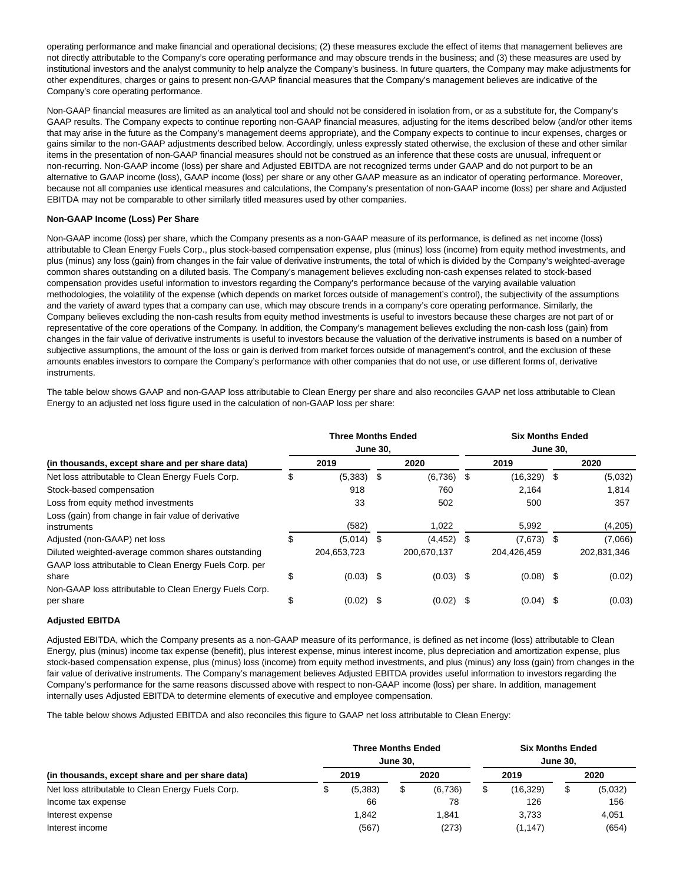operating performance and make financial and operational decisions; (2) these measures exclude the effect of items that management believes are not directly attributable to the Company's core operating performance and may obscure trends in the business; and (3) these measures are used by institutional investors and the analyst community to help analyze the Company's business. In future quarters, the Company may make adjustments for other expenditures, charges or gains to present non-GAAP financial measures that the Company's management believes are indicative of the Company's core operating performance.

Non-GAAP financial measures are limited as an analytical tool and should not be considered in isolation from, or as a substitute for, the Company's GAAP results. The Company expects to continue reporting non-GAAP financial measures, adjusting for the items described below (and/or other items that may arise in the future as the Company's management deems appropriate), and the Company expects to continue to incur expenses, charges or gains similar to the non-GAAP adjustments described below. Accordingly, unless expressly stated otherwise, the exclusion of these and other similar items in the presentation of non-GAAP financial measures should not be construed as an inference that these costs are unusual, infrequent or non-recurring. Non-GAAP income (loss) per share and Adjusted EBITDA are not recognized terms under GAAP and do not purport to be an alternative to GAAP income (loss), GAAP income (loss) per share or any other GAAP measure as an indicator of operating performance. Moreover, because not all companies use identical measures and calculations, the Company's presentation of non-GAAP income (loss) per share and Adjusted EBITDA may not be comparable to other similarly titled measures used by other companies.

## **Non-GAAP Income (Loss) Per Share**

Non-GAAP income (loss) per share, which the Company presents as a non-GAAP measure of its performance, is defined as net income (loss) attributable to Clean Energy Fuels Corp., plus stock-based compensation expense, plus (minus) loss (income) from equity method investments, and plus (minus) any loss (gain) from changes in the fair value of derivative instruments, the total of which is divided by the Company's weighted-average common shares outstanding on a diluted basis. The Company's management believes excluding non-cash expenses related to stock-based compensation provides useful information to investors regarding the Company's performance because of the varying available valuation methodologies, the volatility of the expense (which depends on market forces outside of management's control), the subjectivity of the assumptions and the variety of award types that a company can use, which may obscure trends in a company's core operating performance. Similarly, the Company believes excluding the non-cash results from equity method investments is useful to investors because these charges are not part of or representative of the core operations of the Company. In addition, the Company's management believes excluding the non-cash loss (gain) from changes in the fair value of derivative instruments is useful to investors because the valuation of the derivative instruments is based on a number of subjective assumptions, the amount of the loss or gain is derived from market forces outside of management's control, and the exclusion of these amounts enables investors to compare the Company's performance with other companies that do not use, or use different forms of, derivative instruments.

The table below shows GAAP and non-GAAP loss attributable to Clean Energy per share and also reconciles GAAP net loss attributable to Clean Energy to an adjusted net loss figure used in the calculation of non-GAAP loss per share:

|                                                                                                              |      | <b>Three Months Ended</b> | <b>June 30,</b> |             |      | <b>Six Months Ended</b><br><b>June 30,</b> |  |             |  |  |  |
|--------------------------------------------------------------------------------------------------------------|------|---------------------------|-----------------|-------------|------|--------------------------------------------|--|-------------|--|--|--|
| (in thousands, except share and per share data)                                                              | 2019 |                           |                 | 2020        |      | 2019                                       |  | 2020        |  |  |  |
| Net loss attributable to Clean Energy Fuels Corp.                                                            | ა    | (5,383)                   | -\$             | (6,736)     | S.   | $(16,329)$ \$                              |  | (5,032)     |  |  |  |
| Stock-based compensation                                                                                     |      | 918                       |                 | 760         |      | 2.164                                      |  | 1.814       |  |  |  |
| Loss from equity method investments                                                                          |      | 33                        |                 | 502         |      | 500                                        |  | 357         |  |  |  |
| Loss (gain) from change in fair value of derivative<br>instruments                                           |      | (582)                     |                 | 1,022       |      | 5,992                                      |  | (4,205)     |  |  |  |
| Adjusted (non-GAAP) net loss                                                                                 | \$   | (5,014)                   | \$              | (4, 452)    | S.   | $(7,673)$ \$                               |  | (7,066)     |  |  |  |
| Diluted weighted-average common shares outstanding<br>GAAP loss attributable to Clean Energy Fuels Corp. per |      | 204,653,723               |                 | 200,670,137 |      | 204,426,459                                |  | 202,831,346 |  |  |  |
| share                                                                                                        | \$   | $(0.03)$ \$               |                 | $(0.03)$ \$ |      | $(0.08)$ \$                                |  | (0.02)      |  |  |  |
| Non-GAAP loss attributable to Clean Energy Fuels Corp.<br>per share                                          | \$   | (0.02)                    | \$              | (0.02)      | - \$ | $(0.04)$ \$                                |  | (0.03)      |  |  |  |

## **Adjusted EBITDA**

Adjusted EBITDA, which the Company presents as a non-GAAP measure of its performance, is defined as net income (loss) attributable to Clean Energy, plus (minus) income tax expense (benefit), plus interest expense, minus interest income, plus depreciation and amortization expense, plus stock-based compensation expense, plus (minus) loss (income) from equity method investments, and plus (minus) any loss (gain) from changes in the fair value of derivative instruments. The Company's management believes Adjusted EBITDA provides useful information to investors regarding the Company's performance for the same reasons discussed above with respect to non-GAAP income (loss) per share. In addition, management internally uses Adjusted EBITDA to determine elements of executive and employee compensation.

The table below shows Adjusted EBITDA and also reconciles this figure to GAAP net loss attributable to Clean Energy:

|                                                   |  | <b>Three Months Ended</b> | <b>June 30.</b> |         | <b>Six Months Ended</b><br><b>June 30.</b> |           |      |         |  |  |  |
|---------------------------------------------------|--|---------------------------|-----------------|---------|--------------------------------------------|-----------|------|---------|--|--|--|
| (in thousands, except share and per share data)   |  | 2019                      |                 | 2020    |                                            | 2019      | 2020 |         |  |  |  |
| Net loss attributable to Clean Energy Fuels Corp. |  | (5,383)                   |                 | (6,736) |                                            | (16, 329) | \$   | (5,032) |  |  |  |
| Income tax expense                                |  | 66                        |                 | 78      |                                            | 126       |      | 156     |  |  |  |
| Interest expense                                  |  | 1.842                     |                 | 1.841   |                                            | 3.733     |      | 4,051   |  |  |  |
| Interest income                                   |  | (567)                     |                 | (273)   |                                            | (1, 147)  |      | (654)   |  |  |  |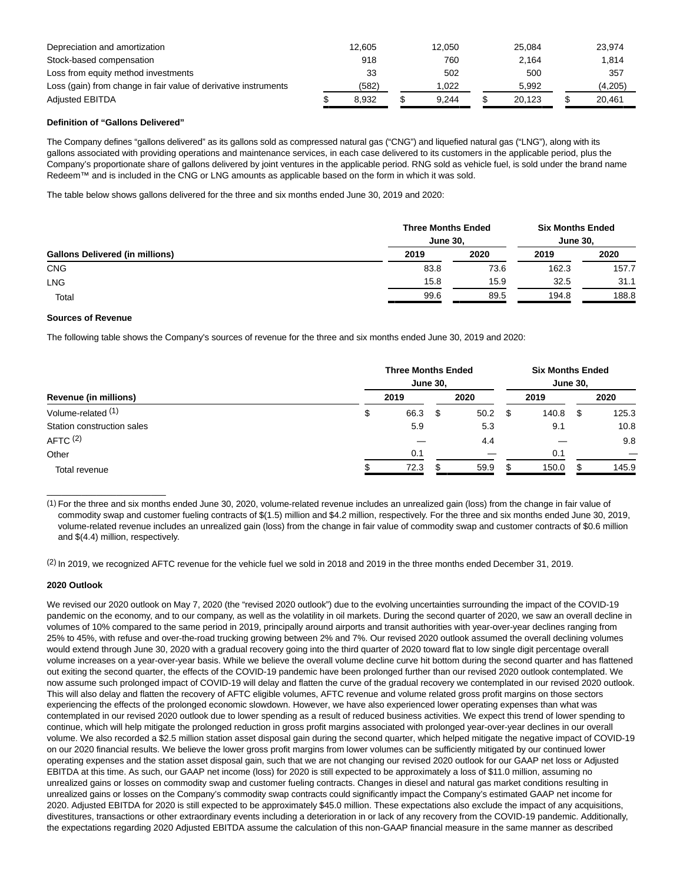| Depreciation and amortization                                   | 12.605 | 12.050 |       | 25.084 |  | 23.974  |  |  |
|-----------------------------------------------------------------|--------|--------|-------|--------|--|---------|--|--|
| Stock-based compensation                                        | 918    | 760    | 2.164 |        |  | 1,814   |  |  |
| Loss from equity method investments                             | 33     | 502    |       | 500    |  | 357     |  |  |
| Loss (gain) from change in fair value of derivative instruments | (582)  | 1.022  |       | 5.992  |  | (4,205) |  |  |
| <b>Adjusted EBITDA</b>                                          | 8.932  | 9.244  |       | 20.123 |  | 20.461  |  |  |

## **Definition of "Gallons Delivered"**

The Company defines "gallons delivered" as its gallons sold as compressed natural gas ("CNG") and liquefied natural gas ("LNG"), along with its gallons associated with providing operations and maintenance services, in each case delivered to its customers in the applicable period, plus the Company's proportionate share of gallons delivered by joint ventures in the applicable period. RNG sold as vehicle fuel, is sold under the brand name Redeem™ and is included in the CNG or LNG amounts as applicable based on the form in which it was sold.

The table below shows gallons delivered for the three and six months ended June 30, 2019 and 2020:

|                                        | <b>Three Months Ended</b><br><b>June 30.</b> |      | <b>Six Months Ended</b><br><b>June 30.</b> |       |  |
|----------------------------------------|----------------------------------------------|------|--------------------------------------------|-------|--|
| <b>Gallons Delivered (in millions)</b> | 2019                                         | 2020 | 2019                                       | 2020  |  |
| <b>CNG</b>                             | 83.8                                         | 73.6 | 162.3                                      | 157.7 |  |
| <b>LNG</b>                             | 15.8                                         | 15.9 | 32.5                                       | 31.1  |  |
| Total                                  | 99.6                                         | 89.5 | 194.8                                      | 188.8 |  |

### **Sources of Revenue**

The following table shows the Company's sources of revenue for the three and six months ended June 30, 2019 and 2020:

| Revenue (in millions)      |  | <b>Three Months Ended</b><br><b>June 30,</b> |      |      |    |       | <b>Six Months Ended</b><br><b>June 30,</b> |       |  |  |  |
|----------------------------|--|----------------------------------------------|------|------|----|-------|--------------------------------------------|-------|--|--|--|
|                            |  | 2019                                         |      | 2020 |    | 2019  |                                            | 2020  |  |  |  |
| Volume-related (1)         |  | 66.3                                         | - \$ | 50.2 | \$ | 140.8 | \$                                         | 125.3 |  |  |  |
| Station construction sales |  | 5.9                                          |      | 5.3  |    | 9.1   |                                            | 10.8  |  |  |  |
| AFTC <sup>(2)</sup>        |  |                                              |      | 4.4  |    |       |                                            | 9.8   |  |  |  |
| Other                      |  | 0.1                                          |      |      |    | 0.1   |                                            |       |  |  |  |
| Total revenue              |  | 72.3                                         |      | 59.9 |    | 150.0 |                                            | 145.9 |  |  |  |

(1) For the three and six months ended June 30, 2020, volume-related revenue includes an unrealized gain (loss) from the change in fair value of commodity swap and customer fueling contracts of \$(1.5) million and \$4.2 million, respectively. For the three and six months ended June 30, 2019, volume-related revenue includes an unrealized gain (loss) from the change in fair value of commodity swap and customer contracts of \$0.6 million and \$(4.4) million, respectively.

(2) In 2019, we recognized AFTC revenue for the vehicle fuel we sold in 2018 and 2019 in the three months ended December 31, 2019.

### **2020 Outlook**

\_\_\_\_\_\_\_\_\_\_\_\_\_\_\_\_\_\_\_\_\_\_\_\_

We revised our 2020 outlook on May 7, 2020 (the "revised 2020 outlook") due to the evolving uncertainties surrounding the impact of the COVID-19 pandemic on the economy, and to our company, as well as the volatility in oil markets. During the second quarter of 2020, we saw an overall decline in volumes of 10% compared to the same period in 2019, principally around airports and transit authorities with year-over-year declines ranging from 25% to 45%, with refuse and over-the-road trucking growing between 2% and 7%. Our revised 2020 outlook assumed the overall declining volumes would extend through June 30, 2020 with a gradual recovery going into the third quarter of 2020 toward flat to low single digit percentage overall volume increases on a year-over-year basis. While we believe the overall volume decline curve hit bottom during the second quarter and has flattened out exiting the second quarter, the effects of the COVID-19 pandemic have been prolonged further than our revised 2020 outlook contemplated. We now assume such prolonged impact of COVID-19 will delay and flatten the curve of the gradual recovery we contemplated in our revised 2020 outlook. This will also delay and flatten the recovery of AFTC eligible volumes, AFTC revenue and volume related gross profit margins on those sectors experiencing the effects of the prolonged economic slowdown. However, we have also experienced lower operating expenses than what was contemplated in our revised 2020 outlook due to lower spending as a result of reduced business activities. We expect this trend of lower spending to continue, which will help mitigate the prolonged reduction in gross profit margins associated with prolonged year-over-year declines in our overall volume. We also recorded a \$2.5 million station asset disposal gain during the second quarter, which helped mitigate the negative impact of COVID-19 on our 2020 financial results. We believe the lower gross profit margins from lower volumes can be sufficiently mitigated by our continued lower operating expenses and the station asset disposal gain, such that we are not changing our revised 2020 outlook for our GAAP net loss or Adjusted EBITDA at this time. As such, our GAAP net income (loss) for 2020 is still expected to be approximately a loss of \$11.0 million, assuming no unrealized gains or losses on commodity swap and customer fueling contracts. Changes in diesel and natural gas market conditions resulting in unrealized gains or losses on the Company's commodity swap contracts could significantly impact the Company's estimated GAAP net income for 2020. Adjusted EBITDA for 2020 is still expected to be approximately \$45.0 million. These expectations also exclude the impact of any acquisitions, divestitures, transactions or other extraordinary events including a deterioration in or lack of any recovery from the COVID-19 pandemic. Additionally, the expectations regarding 2020 Adjusted EBITDA assume the calculation of this non-GAAP financial measure in the same manner as described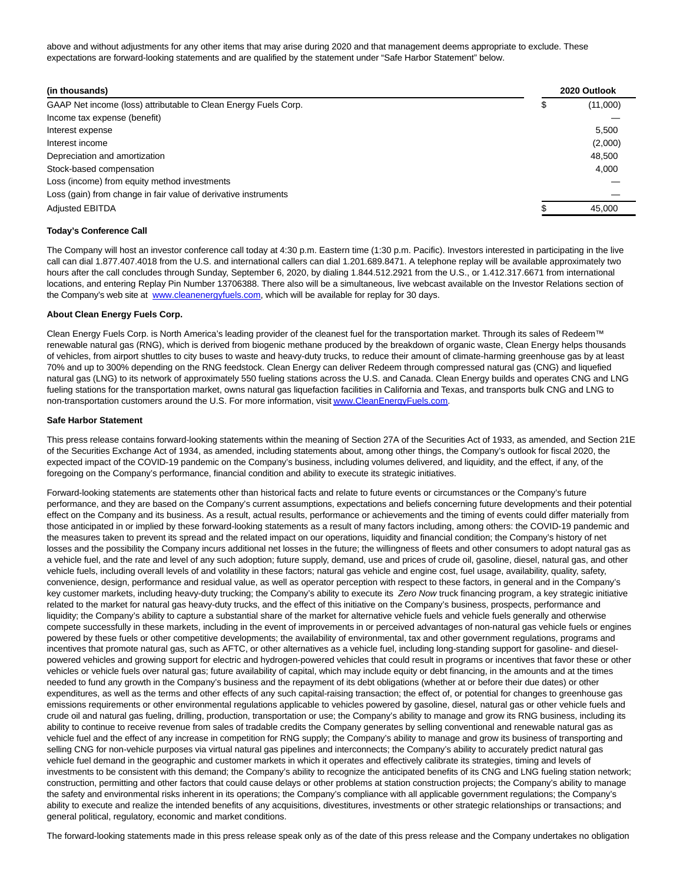above and without adjustments for any other items that may arise during 2020 and that management deems appropriate to exclude. These expectations are forward-looking statements and are qualified by the statement under "Safe Harbor Statement" below.

| (in thousands)                                                  |  | 2020 Outlook |  |  |
|-----------------------------------------------------------------|--|--------------|--|--|
| GAAP Net income (loss) attributable to Clean Energy Fuels Corp. |  | (11,000)     |  |  |
| Income tax expense (benefit)                                    |  |              |  |  |
| Interest expense                                                |  | 5,500        |  |  |
| Interest income                                                 |  | (2,000)      |  |  |
| Depreciation and amortization                                   |  | 48,500       |  |  |
| Stock-based compensation                                        |  | 4.000        |  |  |
| Loss (income) from equity method investments                    |  |              |  |  |
| Loss (gain) from change in fair value of derivative instruments |  |              |  |  |
| <b>Adjusted EBITDA</b>                                          |  | 45.000       |  |  |

#### **Today's Conference Call**

The Company will host an investor conference call today at 4:30 p.m. Eastern time (1:30 p.m. Pacific). Investors interested in participating in the live call can dial 1.877.407.4018 from the U.S. and international callers can dial 1.201.689.8471. A telephone replay will be available approximately two hours after the call concludes through Sunday, September 6, 2020, by dialing 1.844.512.2921 from the U.S., or 1.412.317.6671 from international locations, and entering Replay Pin Number 13706388. There also will be a simultaneous, live webcast available on the Investor Relations section of the Company's web site at [www.cleanenergyfuels.com,](https://cts.businesswire.com/ct/CT?id=smartlink&url=http%3A%2F%2Fwww.cleanenergyfuels.com&esheet=52262718&newsitemid=20200806005884&lan=en-US&anchor=www.cleanenergyfuels.com&index=1&md5=ae0f2c9c3c8aba4c3dbd090d034712df) which will be available for replay for 30 days.

#### **About Clean Energy Fuels Corp.**

Clean Energy Fuels Corp. is North America's leading provider of the cleanest fuel for the transportation market. Through its sales of Redeem™ renewable natural gas (RNG), which is derived from biogenic methane produced by the breakdown of organic waste, Clean Energy helps thousands of vehicles, from airport shuttles to city buses to waste and heavy-duty trucks, to reduce their amount of climate-harming greenhouse gas by at least 70% and up to 300% depending on the RNG feedstock. Clean Energy can deliver Redeem through compressed natural gas (CNG) and liquefied natural gas (LNG) to its network of approximately 550 fueling stations across the U.S. and Canada. Clean Energy builds and operates CNG and LNG fueling stations for the transportation market, owns natural gas liquefaction facilities in California and Texas, and transports bulk CNG and LNG to non-transportation customers around the U.S. For more information, visi[t www.CleanEnergyFuels.com.](https://cts.businesswire.com/ct/CT?id=smartlink&url=http%3A%2F%2Fwww.CleanEnergyFuels.com&esheet=52262718&newsitemid=20200806005884&lan=en-US&anchor=www.CleanEnergyFuels.com&index=2&md5=2363ebbcb7e0010273b190086c9f02ed)

#### **Safe Harbor Statement**

This press release contains forward-looking statements within the meaning of Section 27A of the Securities Act of 1933, as amended, and Section 21E of the Securities Exchange Act of 1934, as amended, including statements about, among other things, the Company's outlook for fiscal 2020, the expected impact of the COVID-19 pandemic on the Company's business, including volumes delivered, and liquidity, and the effect, if any, of the foregoing on the Company's performance, financial condition and ability to execute its strategic initiatives.

Forward-looking statements are statements other than historical facts and relate to future events or circumstances or the Company's future performance, and they are based on the Company's current assumptions, expectations and beliefs concerning future developments and their potential effect on the Company and its business. As a result, actual results, performance or achievements and the timing of events could differ materially from those anticipated in or implied by these forward-looking statements as a result of many factors including, among others: the COVID-19 pandemic and the measures taken to prevent its spread and the related impact on our operations, liquidity and financial condition; the Company's history of net losses and the possibility the Company incurs additional net losses in the future; the willingness of fleets and other consumers to adopt natural gas as a vehicle fuel, and the rate and level of any such adoption; future supply, demand, use and prices of crude oil, gasoline, diesel, natural gas, and other vehicle fuels, including overall levels of and volatility in these factors; natural gas vehicle and engine cost, fuel usage, availability, quality, safety, convenience, design, performance and residual value, as well as operator perception with respect to these factors, in general and in the Company's key customer markets, including heavy-duty trucking; the Company's ability to execute its Zero Now truck financing program, a key strategic initiative related to the market for natural gas heavy-duty trucks, and the effect of this initiative on the Company's business, prospects, performance and liquidity; the Company's ability to capture a substantial share of the market for alternative vehicle fuels and vehicle fuels generally and otherwise compete successfully in these markets, including in the event of improvements in or perceived advantages of non-natural gas vehicle fuels or engines powered by these fuels or other competitive developments; the availability of environmental, tax and other government regulations, programs and incentives that promote natural gas, such as AFTC, or other alternatives as a vehicle fuel, including long-standing support for gasoline- and dieselpowered vehicles and growing support for electric and hydrogen-powered vehicles that could result in programs or incentives that favor these or other vehicles or vehicle fuels over natural gas; future availability of capital, which may include equity or debt financing, in the amounts and at the times needed to fund any growth in the Company's business and the repayment of its debt obligations (whether at or before their due dates) or other expenditures, as well as the terms and other effects of any such capital-raising transaction; the effect of, or potential for changes to greenhouse gas emissions requirements or other environmental regulations applicable to vehicles powered by gasoline, diesel, natural gas or other vehicle fuels and crude oil and natural gas fueling, drilling, production, transportation or use; the Company's ability to manage and grow its RNG business, including its ability to continue to receive revenue from sales of tradable credits the Company generates by selling conventional and renewable natural gas as vehicle fuel and the effect of any increase in competition for RNG supply; the Company's ability to manage and grow its business of transporting and selling CNG for non-vehicle purposes via virtual natural gas pipelines and interconnects; the Company's ability to accurately predict natural gas vehicle fuel demand in the geographic and customer markets in which it operates and effectively calibrate its strategies, timing and levels of investments to be consistent with this demand; the Company's ability to recognize the anticipated benefits of its CNG and LNG fueling station network; construction, permitting and other factors that could cause delays or other problems at station construction projects; the Company's ability to manage the safety and environmental risks inherent in its operations; the Company's compliance with all applicable government regulations; the Company's ability to execute and realize the intended benefits of any acquisitions, divestitures, investments or other strategic relationships or transactions; and general political, regulatory, economic and market conditions.

The forward-looking statements made in this press release speak only as of the date of this press release and the Company undertakes no obligation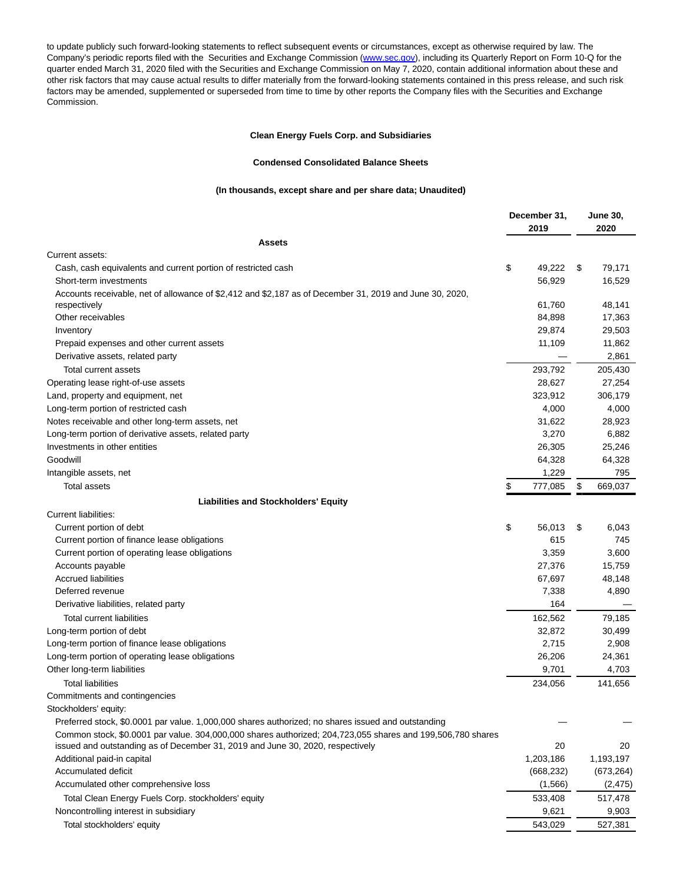to update publicly such forward-looking statements to reflect subsequent events or circumstances, except as otherwise required by law. The Company's periodic reports filed with the Securities and Exchange Commission [\(www.sec.gov\),](https://cts.businesswire.com/ct/CT?id=smartlink&url=http%3A%2F%2Fwww.sec.gov&esheet=52262718&newsitemid=20200806005884&lan=en-US&anchor=www.sec.gov&index=3&md5=349c94910da73dc8ea6dadbd790b2686) including its Quarterly Report on Form 10-Q for the quarter ended March 31, 2020 filed with the Securities and Exchange Commission on May 7, 2020, contain additional information about these and other risk factors that may cause actual results to differ materially from the forward-looking statements contained in this press release, and such risk factors may be amended, supplemented or superseded from time to time by other reports the Company files with the Securities and Exchange Commission.

## **Clean Energy Fuels Corp. and Subsidiaries**

#### **Condensed Consolidated Balance Sheets**

## **(In thousands, except share and per share data; Unaudited)**

|                                                                                                            | December 31, |            | <b>June 30,</b> |            |
|------------------------------------------------------------------------------------------------------------|--------------|------------|-----------------|------------|
|                                                                                                            |              | 2019       |                 | 2020       |
| <b>Assets</b>                                                                                              |              |            |                 |            |
| Current assets:                                                                                            |              |            |                 |            |
| Cash, cash equivalents and current portion of restricted cash                                              | \$           | 49,222     | \$              | 79,171     |
| Short-term investments                                                                                     |              | 56,929     |                 | 16,529     |
| Accounts receivable, net of allowance of \$2,412 and \$2,187 as of December 31, 2019 and June 30, 2020,    |              |            |                 |            |
| respectively                                                                                               |              | 61,760     |                 | 48,141     |
| Other receivables                                                                                          |              | 84,898     |                 | 17,363     |
| Inventory                                                                                                  |              | 29,874     |                 | 29,503     |
| Prepaid expenses and other current assets                                                                  |              | 11,109     |                 | 11,862     |
| Derivative assets, related party                                                                           |              |            |                 | 2,861      |
| Total current assets                                                                                       |              | 293,792    |                 | 205,430    |
| Operating lease right-of-use assets                                                                        |              | 28,627     |                 | 27,254     |
| Land, property and equipment, net                                                                          |              | 323,912    |                 | 306,179    |
| Long-term portion of restricted cash                                                                       |              | 4,000      |                 | 4,000      |
| Notes receivable and other long-term assets, net                                                           |              | 31,622     |                 | 28,923     |
| Long-term portion of derivative assets, related party                                                      |              | 3,270      |                 | 6,882      |
| Investments in other entities                                                                              |              | 26,305     |                 | 25,246     |
| Goodwill                                                                                                   |              | 64,328     |                 | 64,328     |
| Intangible assets, net                                                                                     |              | 1,229      |                 | 795        |
| <b>Total assets</b>                                                                                        | \$           | 777,085    | \$              | 669,037    |
| <b>Liabilities and Stockholders' Equity</b>                                                                |              |            |                 |            |
| Current liabilities:                                                                                       |              |            |                 |            |
| Current portion of debt                                                                                    | \$           | 56,013     | \$              | 6,043      |
| Current portion of finance lease obligations                                                               |              | 615        |                 | 745        |
| Current portion of operating lease obligations                                                             |              | 3,359      |                 | 3,600      |
| Accounts payable                                                                                           |              | 27,376     |                 | 15,759     |
| <b>Accrued liabilities</b>                                                                                 |              | 67,697     |                 | 48,148     |
| Deferred revenue                                                                                           |              | 7,338      |                 | 4,890      |
| Derivative liabilities, related party                                                                      |              | 164        |                 |            |
| <b>Total current liabilities</b>                                                                           |              | 162,562    |                 | 79,185     |
| Long-term portion of debt                                                                                  |              | 32,872     |                 | 30,499     |
| Long-term portion of finance lease obligations                                                             |              | 2,715      |                 | 2,908      |
| Long-term portion of operating lease obligations                                                           |              | 26,206     |                 | 24,361     |
| Other long-term liabilities                                                                                |              | 9,701      |                 | 4,703      |
| <b>Total liabilities</b>                                                                                   |              | 234,056    |                 | 141,656    |
| Commitments and contingencies                                                                              |              |            |                 |            |
| Stockholders' equity:                                                                                      |              |            |                 |            |
| Preferred stock, \$0.0001 par value. 1,000,000 shares authorized; no shares issued and outstanding         |              |            |                 |            |
| Common stock, \$0.0001 par value. 304,000,000 shares authorized; 204,723,055 shares and 199,506,780 shares |              |            |                 |            |
| issued and outstanding as of December 31, 2019 and June 30, 2020, respectively                             |              | 20         |                 | 20         |
| Additional paid-in capital                                                                                 |              | 1,203,186  |                 | 1,193,197  |
| Accumulated deficit                                                                                        |              | (668, 232) |                 | (673, 264) |
| Accumulated other comprehensive loss                                                                       |              | (1, 566)   |                 | (2, 475)   |
| Total Clean Energy Fuels Corp. stockholders' equity                                                        |              | 533,408    |                 | 517,478    |
| Noncontrolling interest in subsidiary                                                                      |              | 9,621      |                 | 9,903      |
| Total stockholders' equity                                                                                 |              | 543,029    |                 | 527,381    |